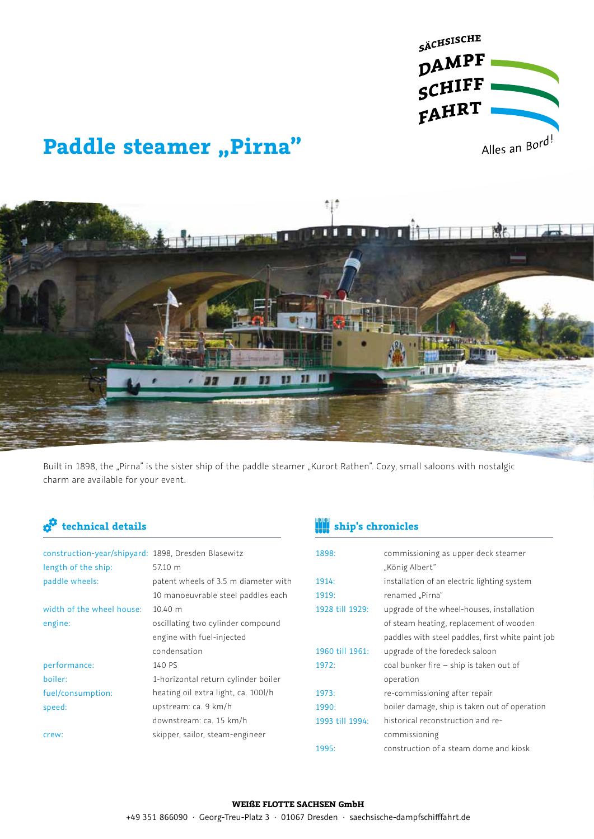

# **Paddle steamer "Pirna"**



Built in 1898, the "Pirna" is the sister ship of the paddle steamer "Kurort Rathen". Cozy, small saloons with nostalgic charm are available for your event.

| construction-year/shipyard: 1898, Dresden Blasewitz |                                      |
|-----------------------------------------------------|--------------------------------------|
| length of the ship:                                 | 57.10 m                              |
| paddle wheels:                                      | patent wheels of 3.5 m diameter with |
|                                                     | 10 manoeuvrable steel paddles each   |
| width of the wheel house:                           | $10.40 \; \mathrm{m}$                |
| engine:                                             | oscillating two cylinder compound    |
|                                                     | engine with fuel-injected            |
|                                                     | condensation                         |
| performance:                                        | 140 PS                               |
| boiler:                                             | 1-horizontal return cylinder boiler  |
| fuel/consumption:                                   | heating oil extra light, ca. 100l/h  |
| speed:                                              | upstream: ca. 9 km/h                 |
|                                                     | downstream: ca. 15 km/h              |
| crew:                                               | skipper, sailor, steam-engineer      |

### **technical details ship's chronicles**

| 1898:           | commissioning as upper deck steamer               |
|-----------------|---------------------------------------------------|
|                 | "König Albert"                                    |
| 1914:           | installation of an electric lighting system       |
| 1919:           | renamed "Pirna"                                   |
| 1928 till 1929: | upgrade of the wheel-houses, installation         |
|                 | of steam heating, replacement of wooden           |
|                 | paddles with steel paddles, first white paint job |
| 1960 till 1961: | upgrade of the foredeck saloon                    |
| 1972:           | coal bunker fire - ship is taken out of           |
|                 | operation                                         |
| 1973:           | re-commissioning after repair                     |
| 1990:           | boiler damage, ship is taken out of operation     |
| 1993 till 1994: | historical reconstruction and re-                 |
|                 | commissioning                                     |
| 1995:           | construction of a steam dome and kiosk            |